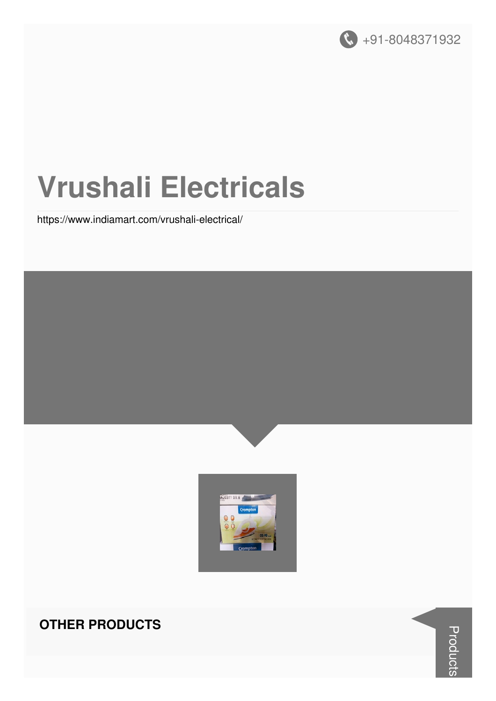

# **Vrushali Electricals**

https://www.indiamart.com/vrushali-electrical/





#### **OTHER PRODUCTS**

**Products**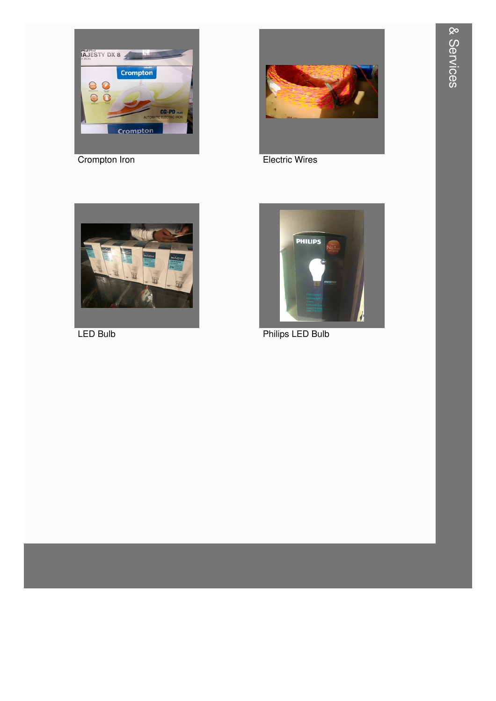

Crompton Iron



**Electric Wires** 



LED Bulb



**Philips LED Bulb**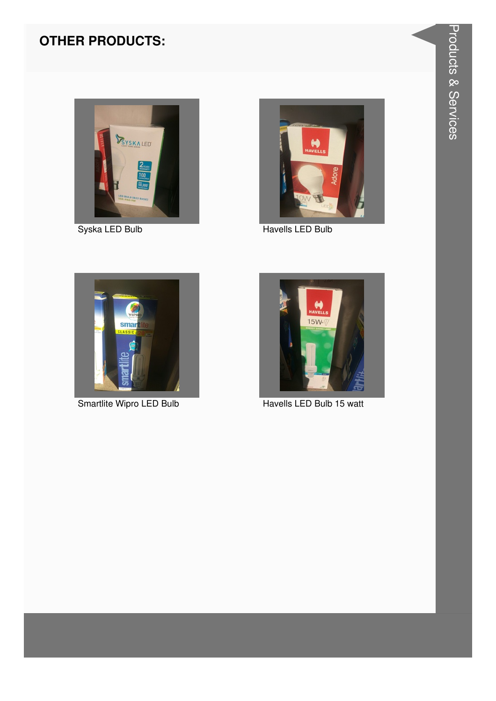



Syska LED Bulb **Havells LED Bulb** Havells LED Bulb





Smartlite Wipro LED Bulb **Havells LED Bulb 15 watt**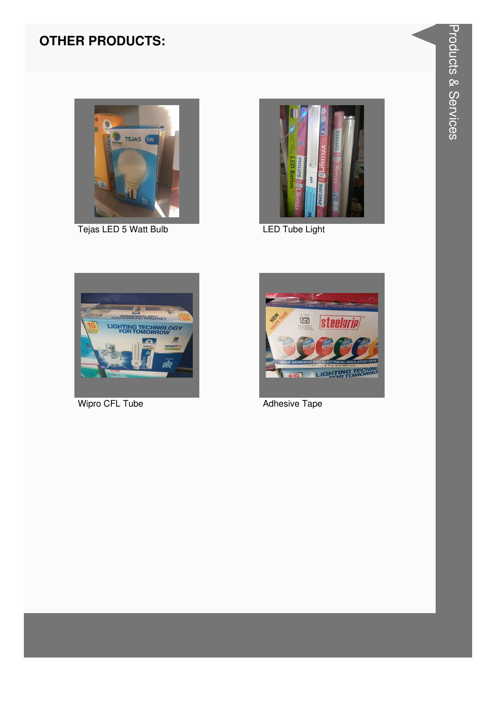

Tejas LED 5 Watt Bulb



LED Tube Light



Wipro CFL Tube



**Adhesive Tape**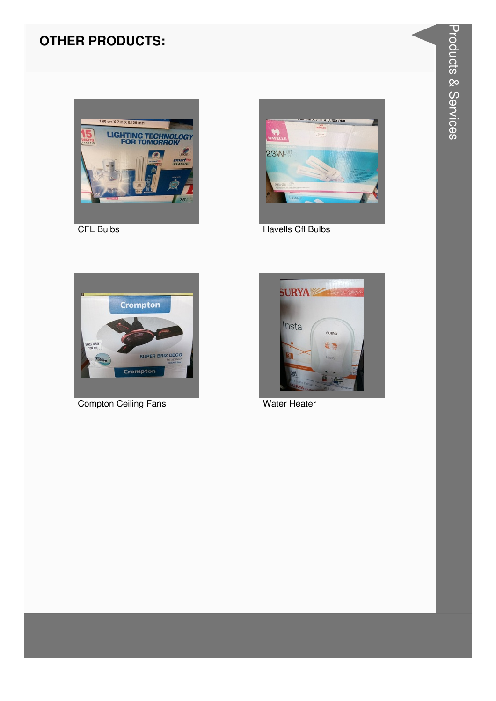

**CFL Bulbs** 



**Havells Cfl Bulbs** 



**Compton Ceiling Fans** 



**Water Heater**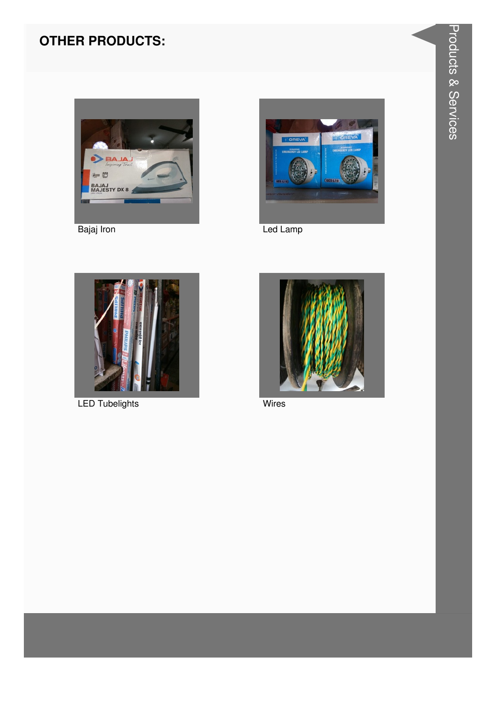

Bajaj Iron



Led Lamp



**LED Tubelights** 



**Wires**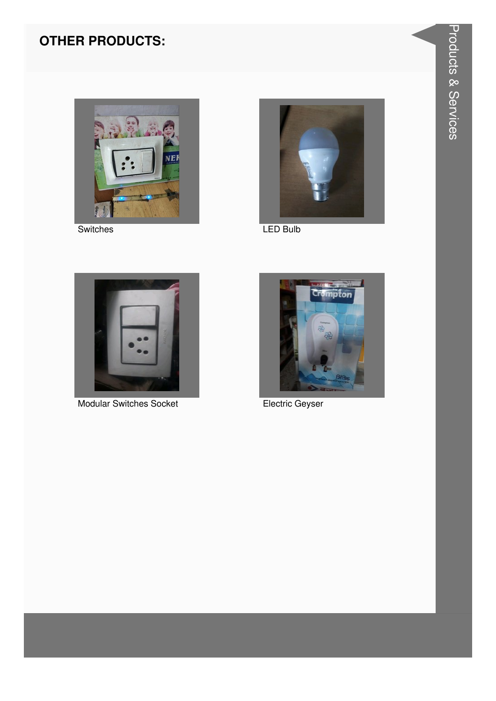

Switches

![](_page_6_Picture_3.jpeg)

LED Bulb

![](_page_6_Picture_5.jpeg)

**Modular Switches Socket** 

![](_page_6_Picture_7.jpeg)

Electric Geyser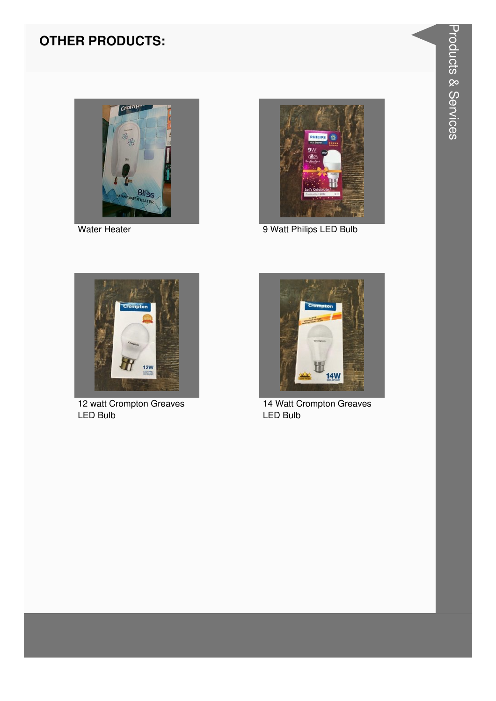![](_page_7_Picture_1.jpeg)

![](_page_7_Picture_3.jpeg)

Water Heater **9 Watt Philips LED Bulb** 

![](_page_7_Picture_5.jpeg)

12 watt Crompton Greaves LED Bulb

![](_page_7_Picture_7.jpeg)

14 Watt Crompton Greaves LED Bulb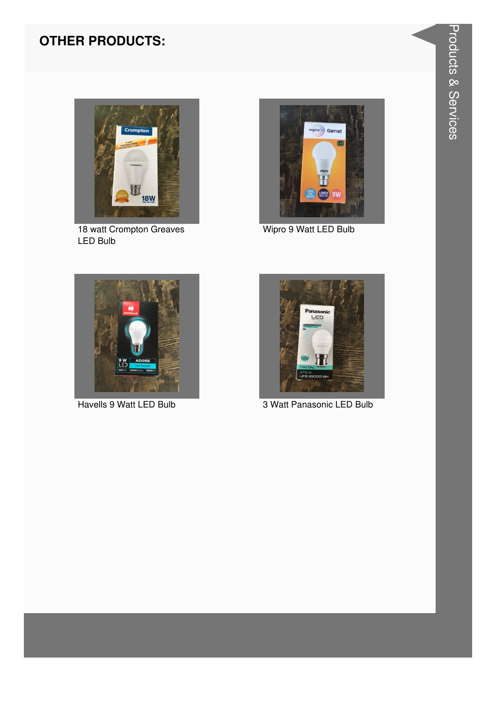![](_page_8_Picture_1.jpeg)

18 watt Crompton Greaves LED Bulb

![](_page_8_Picture_3.jpeg)

Wipro 9 Watt LED Bulb

![](_page_8_Picture_5.jpeg)

![](_page_8_Picture_7.jpeg)

Havells 9 Watt LED Bulb 3 Watt Panasonic LED Bulb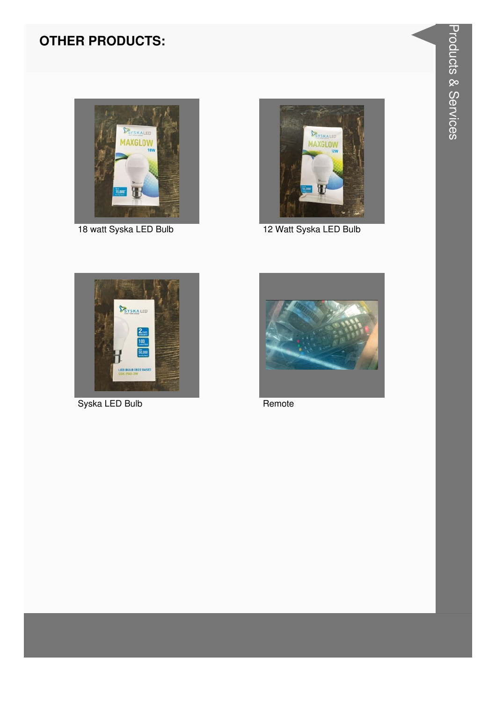![](_page_9_Picture_1.jpeg)

![](_page_9_Picture_3.jpeg)

18 watt Syska LED Bulb 12 Watt Syska LED Bulb

![](_page_9_Picture_5.jpeg)

Syska LED Bulb Remote

![](_page_9_Picture_7.jpeg)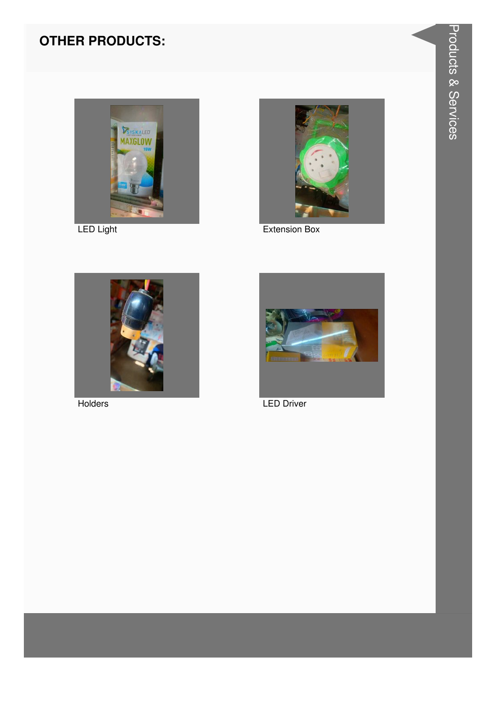![](_page_10_Picture_1.jpeg)

LED Light

![](_page_10_Picture_3.jpeg)

Extension Box

![](_page_10_Picture_5.jpeg)

Holders

![](_page_10_Picture_7.jpeg)

**LED Driver**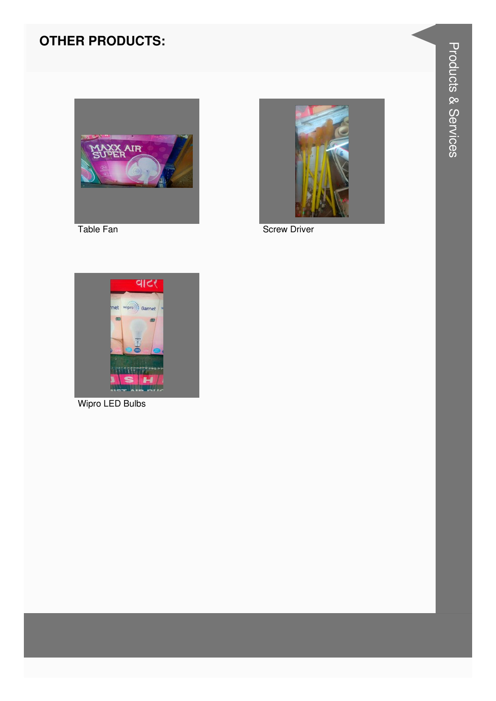![](_page_11_Picture_1.jpeg)

![](_page_11_Picture_2.jpeg)

![](_page_11_Picture_3.jpeg)

**Screw Driver** 

![](_page_11_Picture_5.jpeg)

Wipro LED Bulbs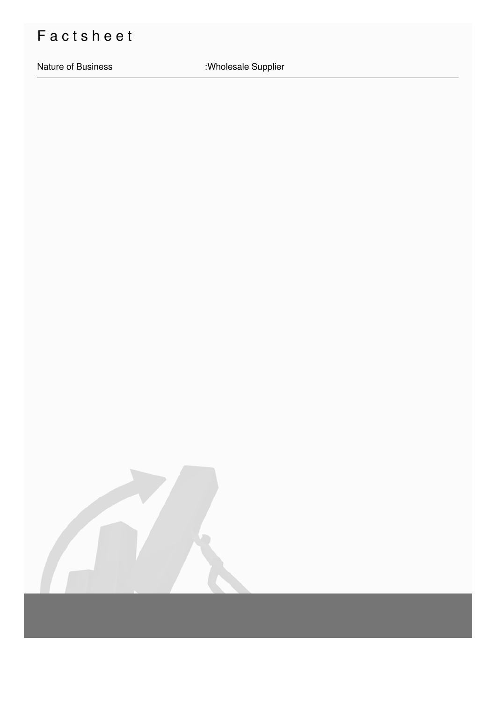## Factsheet

Nature of Business : Wholesale Supplier

![](_page_12_Picture_3.jpeg)